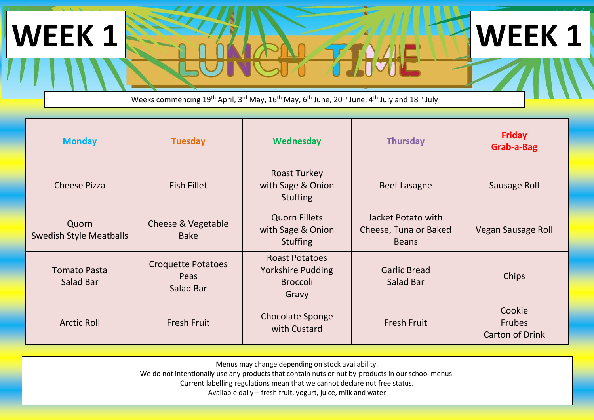## Weeks commencing 19<sup>th</sup> April, 3<sup>rd</sup> May, 16<sup>th</sup> May, 6<sup>th</sup> June, 20<sup>th</sup> June, 4<sup>th</sup> July and 18<sup>th</sup> July

**WEEK 1 <b>1 WEEK 1** 

| <b>Monday</b>                           | <b>Tuesday</b>                                 | Wednesday                                                                     | <b>Thursday</b>                                             | <b>Friday</b><br>Grab-a-Bag         |
|-----------------------------------------|------------------------------------------------|-------------------------------------------------------------------------------|-------------------------------------------------------------|-------------------------------------|
| <b>Cheese Pizza</b>                     | <b>Fish Fillet</b>                             | <b>Roast Turkey</b><br>with Sage & Onion<br><b>Stuffing</b>                   | <b>Beef Lasagne</b>                                         | Sausage Roll                        |
| Quorn<br><b>Swedish Style Meatballs</b> | Cheese & Vegetable<br><b>Bake</b>              | <b>Quorn Fillets</b><br>with Sage & Onion<br><b>Stuffing</b>                  | Jacket Potato with<br>Cheese, Tuna or Baked<br><b>Beans</b> | Vegan Sausage Roll                  |
| <b>Tomato Pasta</b><br>Salad Bar        | <b>Croquette Potatoes</b><br>Peas<br>Salad Bar | <b>Roast Potatoes</b><br><b>Yorkshire Pudding</b><br><b>Broccoli</b><br>Gravy | <b>Garlic Bread</b><br>Salad Bar                            | Chips                               |
| <b>Arctic Roll</b>                      | <b>Fresh Fruit</b>                             | Chocolate Sponge<br>with Custard                                              | <b>Fresh Fruit</b>                                          | Cookie<br>Frubes<br>Carton of Drink |

Menus may change depending on stock availability.

We do not intentionally use any products that contain nuts or nut by-products in our school menus.

Current labelling regulations mean that we cannot declare nut free status.

Available daily – fresh fruit, yogurt, juice, milk and water